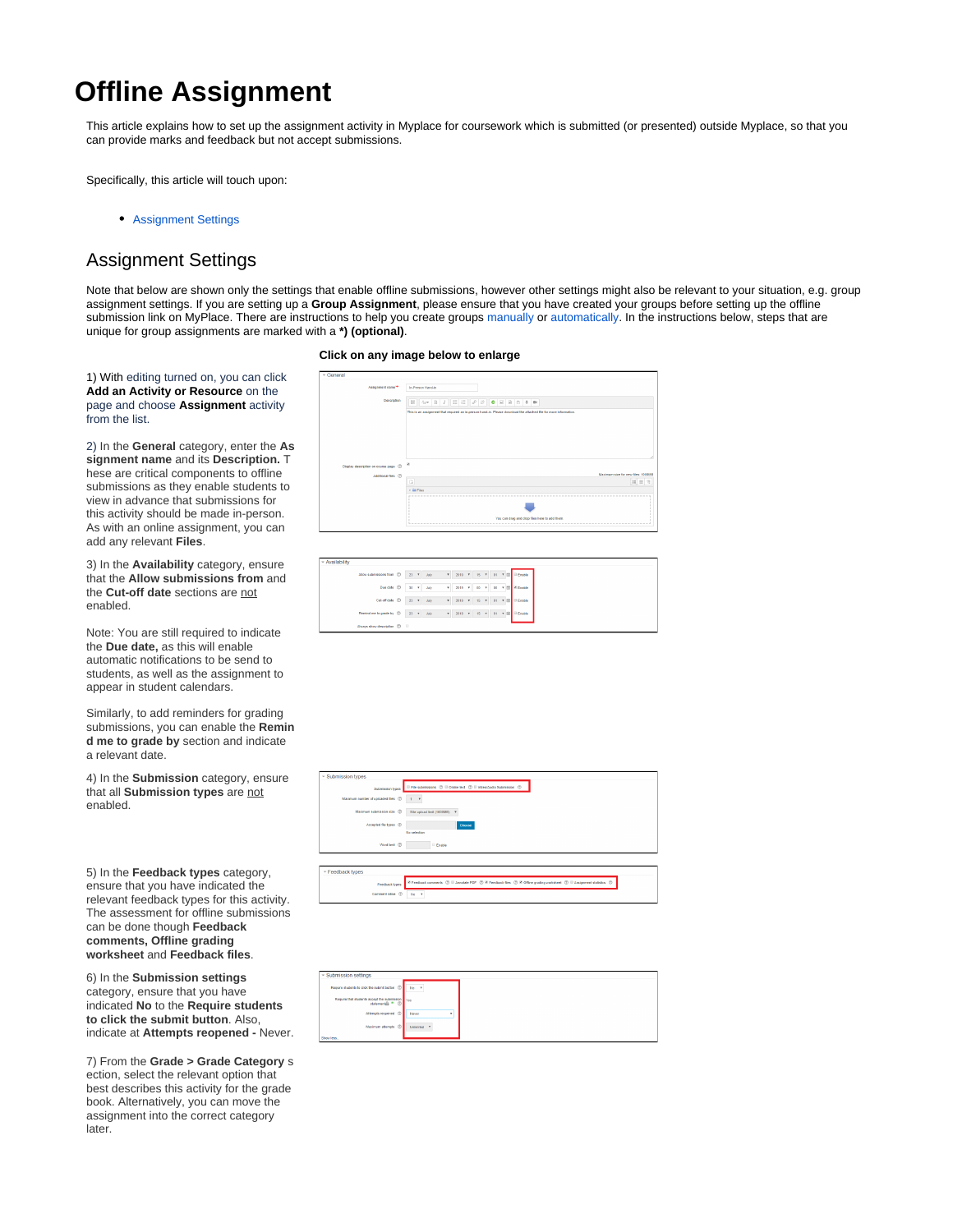## **Offline Assignment**

This article explains how to set up the assignment activity in Myplace for coursework which is submitted (or presented) outside Myplace, so that you can provide marks and feedback but not accept submissions.

Specifically, this article will touch upon:

[Assignment Settings](#page-0-0)

## <span id="page-0-0"></span>Assignment Settings

Note that below are shown only the settings that enable offline submissions, however other settings might also be relevant to your situation, e.g. group assignment settings. If you are setting up a **Group Assignment**, please ensure that you have created your groups before setting up the offline submission link on MyPlace. There are instructions to help you create groups [manually](https://wiki.lte.strath.ac.uk/display/MS/Manually+Creating+a+Group+and+Adding+it+to+a+Grouping) or [automatically.](https://wiki.lte.strath.ac.uk/display/MS/Auto-creating+Groups+and+a+Grouping) In the instructions below, steps that are unique for group assignments are marked with a **\*) (optional)**.

1) With editing turned on, you can click **Add an Activity or Resource** on the page and choose **Assignment** activity from the list.

2) In the **General** category, enter the **As signment name** and its **Description.** T hese are critical components to offline submissions as they enable students to view in advance that submissions for this activity should be made in-person. As with an online assignment, you can add any relevant **Files**.

3) In the **Availability** category, ensure that the **Allow submissions from** and the **Cut-off date** sections are not enabled.

Note: You are still required to indicate the **Due date,** as this will enable automatic notifications to be send to students, as well as the assignment to appear in student calendars.

Similarly, to add reminders for grading submissions, you can enable the **Remin d me to grade by** section and indicate a relevant date.

4) In the **Submission** category, ensure that all **Submission types** are not enabled.

5) In the **Feedback types** category, ensure that you have indicated the relevant feedback types for this activity. The assessment for offline submissions can be done though **Feedback comments, Offline grading worksheet** and **Feedback files**.

6) In the **Submission settings** category, ensure that you have indicated **No** to the **Require students to click the submit button**. Also, indicate at **Attempts reopened -** Never.

7) From the **Grade > Grade Category** s ection, select the relevant option that best describes this activity for the grade book. Alternatively, you can move the assignment into the correct category later.

## **Click on any image below to enlarge**

| General                                |                                                                                                                                                                                                                                                                   |
|----------------------------------------|-------------------------------------------------------------------------------------------------------------------------------------------------------------------------------------------------------------------------------------------------------------------|
| Assignment name <sup>**</sup>          | In-Person Handin                                                                                                                                                                                                                                                  |
| Description                            | $A\bullet B \mid I \mid E \mid E \mid \mathcal{S} \mid Z \mid \mathbf{C} \mid E \mid B \mid \mathbf{C} \mid \mathbf{A} \mid \mathbf{B}$<br>日<br>This is an assignment that required an in-person hand-in. Please download the attacked file for more information. |
|                                        |                                                                                                                                                                                                                                                                   |
| Display description on course page (2) | ×                                                                                                                                                                                                                                                                 |
| Additional files (D)                   | Maximum size for new files: 1008MB<br>D<br>$22 =$<br>×<br>> Eli Film                                                                                                                                                                                              |
|                                        | You can drag and drop files here to add them                                                                                                                                                                                                                      |

| ™ Availability                      |           |      |    |                  |          |  |                              |
|-------------------------------------|-----------|------|----|------------------|----------|--|------------------------------|
| Allow submissions from (D 23 T July |           |      |    |                  |          |  | 7 2019 7 15 7 01 1 1 DEnable |
| Due date (D 30 v                    |           | John | ٠. | 2019 W           | $00 - v$ |  | 00 V III P Enable            |
| Cut-off-date (D 23 + July           |           |      |    | $v = 2019$ $v =$ |          |  | 15 = 01 = III - Enable       |
| Remind me to grade by (2)           | 23 T July |      |    |                  |          |  | ▼ 2019 ▼ 15 ▼ 01 ▼ 图 Diable  |
| Always show description (D)         |           |      |    |                  |          |  |                              |



| - Submission settings                                                              |                   |  |
|------------------------------------------------------------------------------------|-------------------|--|
| Require students to click the submit button (D   No +                              |                   |  |
| Require that students accept the submission view<br>statements $\triangle$ $\odot$ |                   |  |
| Attempts reopened (D)                                                              | Never             |  |
| Maximum attempts (D)                                                               | Unimited <b>v</b> |  |
| Show less                                                                          |                   |  |